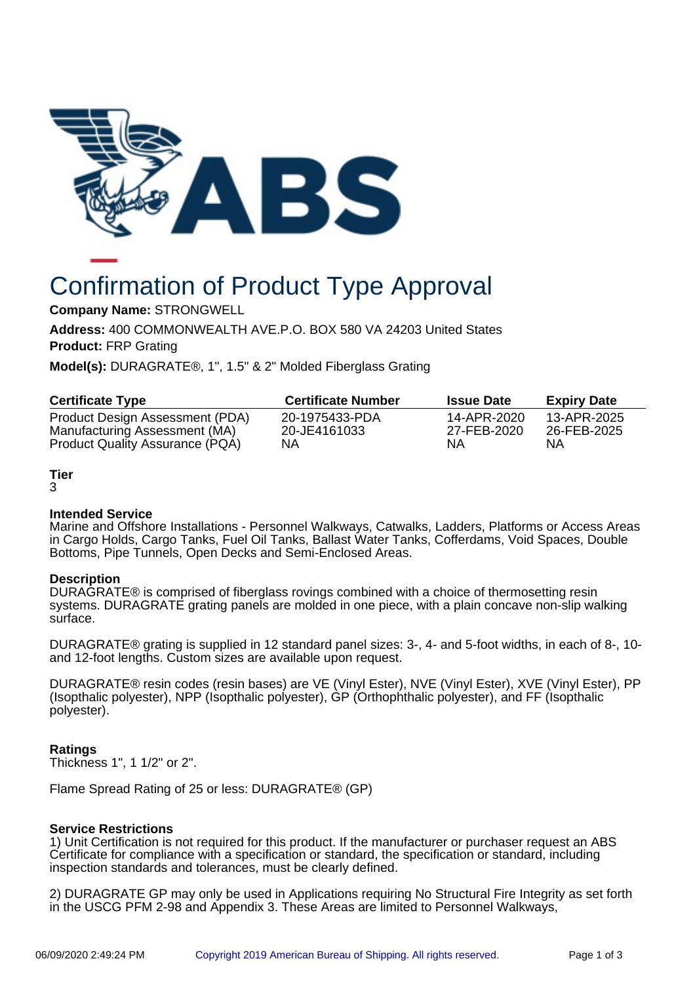

# Confirmation of Product Type Approval

**Company Name:** STRONGWELL

**Address:** 400 COMMONWEALTH AVE.P.O. BOX 580 VA 24203 United States **Product:** FRP Grating

**Model(s):** DURAGRATE®, 1", 1.5" & 2" Molded Fiberglass Grating

| <b>Certificate Type</b>         | <b>Certificate Number</b> | <b>Issue Date</b> | <b>Expiry Date</b> |
|---------------------------------|---------------------------|-------------------|--------------------|
| Product Design Assessment (PDA) | 20-1975433-PDA            | 14-APR-2020       | 13-APR-2025        |
| Manufacturing Assessment (MA)   | 20-JE4161033              | 27-FEB-2020       | 26-FEB-2025        |
| Product Quality Assurance (PQA) | ΝA                        | ΝA                | NΑ                 |

# **Tier**

#### 3

## **Intended Service**

Marine and Offshore Installations - Personnel Walkways, Catwalks, Ladders, Platforms or Access Areas in Cargo Holds, Cargo Tanks, Fuel Oil Tanks, Ballast Water Tanks, Cofferdams, Void Spaces, Double Bottoms, Pipe Tunnels, Open Decks and Semi-Enclosed Areas.

## **Description**

DURAGRATE® is comprised of fiberglass rovings combined with a choice of thermosetting resin systems. DURAGRATE grating panels are molded in one piece, with a plain concave non-slip walking surface.

DURAGRATE® grating is supplied in 12 standard panel sizes: 3-, 4- and 5-foot widths, in each of 8-, 10 and 12-foot lengths. Custom sizes are available upon request.

DURAGRATE® resin codes (resin bases) are VE (Vinyl Ester), NVE (Vinyl Ester), XVE (Vinyl Ester), PP (Isopthalic polyester), NPP (Isopthalic polyester), GP (Orthophthalic polyester), and FF (Isopthalic polyester).

## **Ratings**

Thickness 1", 1 1/2" or 2".

Flame Spread Rating of 25 or less: DURAGRATE® (GP)

## **Service Restrictions**

1) Unit Certification is not required for this product. If the manufacturer or purchaser request an ABS Certificate for compliance with a specification or standard, the specification or standard, including inspection standards and tolerances, must be clearly defined.

2) DURAGRATE GP may only be used in Applications requiring No Structural Fire Integrity as set forth in the USCG PFM 2-98 and Appendix 3. These Areas are limited to Personnel Walkways,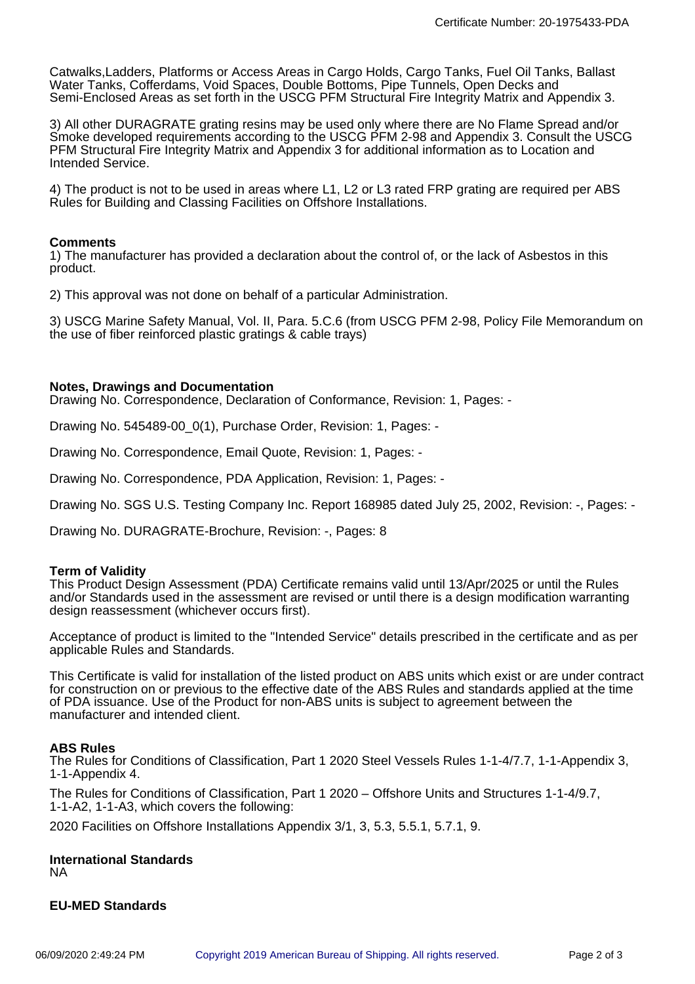Catwalks,Ladders, Platforms or Access Areas in Cargo Holds, Cargo Tanks, Fuel Oil Tanks, Ballast Water Tanks, Cofferdams, Void Spaces, Double Bottoms, Pipe Tunnels, Open Decks and Semi-Enclosed Areas as set forth in the USCG PFM Structural Fire Integrity Matrix and Appendix 3.

3) All other DURAGRATE grating resins may be used only where there are No Flame Spread and/or Smoke developed requirements according to the USCG PFM 2-98 and Appendix 3. Consult the USCG PFM Structural Fire Integrity Matrix and Appendix 3 for additional information as to Location and Intended Service.

4) The product is not to be used in areas where L1, L2 or L3 rated FRP grating are required per ABS Rules for Building and Classing Facilities on Offshore Installations.

## **Comments**

1) The manufacturer has provided a declaration about the control of, or the lack of Asbestos in this product.

2) This approval was not done on behalf of a particular Administration.

3) USCG Marine Safety Manual, Vol. II, Para. 5.C.6 (from USCG PFM 2-98, Policy File Memorandum on the use of fiber reinforced plastic gratings & cable trays)

## **Notes, Drawings and Documentation**

Drawing No. Correspondence, Declaration of Conformance, Revision: 1, Pages: -

Drawing No. 545489-00\_0(1), Purchase Order, Revision: 1, Pages: -

Drawing No. Correspondence, Email Quote, Revision: 1, Pages: -

Drawing No. Correspondence, PDA Application, Revision: 1, Pages: -

Drawing No. SGS U.S. Testing Company Inc. Report 168985 dated July 25, 2002, Revision: -, Pages: -

Drawing No. DURAGRATE-Brochure, Revision: -, Pages: 8

#### **Term of Validity**

This Product Design Assessment (PDA) Certificate remains valid until 13/Apr/2025 or until the Rules and/or Standards used in the assessment are revised or until there is a design modification warranting design reassessment (whichever occurs first).

Acceptance of product is limited to the "Intended Service" details prescribed in the certificate and as per applicable Rules and Standards.

This Certificate is valid for installation of the listed product on ABS units which exist or are under contract for construction on or previous to the effective date of the ABS Rules and standards applied at the time of PDA issuance. Use of the Product for non-ABS units is subject to agreement between the manufacturer and intended client.

## **ABS Rules**

The Rules for Conditions of Classification, Part 1 2020 Steel Vessels Rules 1-1-4/7.7, 1-1-Appendix 3, 1-1-Appendix 4.

The Rules for Conditions of Classification, Part 1 2020 – Offshore Units and Structures 1-1-4/9.7, 1-1-A2, 1-1-A3, which covers the following:

2020 Facilities on Offshore Installations Appendix 3/1, 3, 5.3, 5.5.1, 5.7.1, 9.

#### **International Standards** NA

**EU-MED Standards**